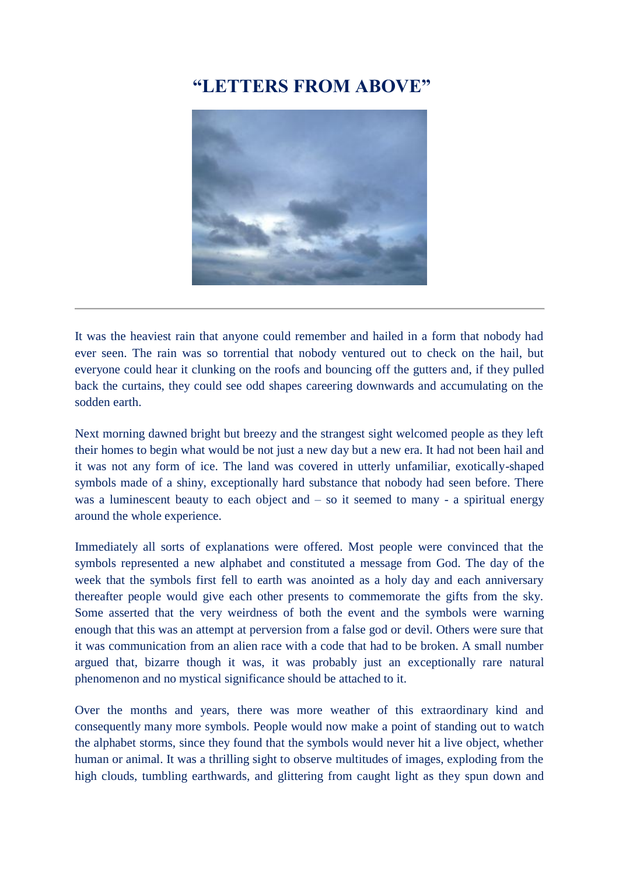## **"LETTERS FROM ABOVE"**



It was the heaviest rain that anyone could remember and hailed in a form that nobody had ever seen. The rain was so torrential that nobody ventured out to check on the hail, but everyone could hear it clunking on the roofs and bouncing off the gutters and, if they pulled back the curtains, they could see odd shapes careering downwards and accumulating on the sodden earth.

Next morning dawned bright but breezy and the strangest sight welcomed people as they left their homes to begin what would be not just a new day but a new era. It had not been hail and it was not any form of ice. The land was covered in utterly unfamiliar, exotically-shaped symbols made of a shiny, exceptionally hard substance that nobody had seen before. There was a luminescent beauty to each object and  $-$  so it seemed to many  $-$  a spiritual energy around the whole experience.

Immediately all sorts of explanations were offered. Most people were convinced that the symbols represented a new alphabet and constituted a message from God. The day of the week that the symbols first fell to earth was anointed as a holy day and each anniversary thereafter people would give each other presents to commemorate the gifts from the sky. Some asserted that the very weirdness of both the event and the symbols were warning enough that this was an attempt at perversion from a false god or devil. Others were sure that it was communication from an alien race with a code that had to be broken. A small number argued that, bizarre though it was, it was probably just an exceptionally rare natural phenomenon and no mystical significance should be attached to it.

Over the months and years, there was more weather of this extraordinary kind and consequently many more symbols. People would now make a point of standing out to watch the alphabet storms, since they found that the symbols would never hit a live object, whether human or animal. It was a thrilling sight to observe multitudes of images, exploding from the high clouds, tumbling earthwards, and glittering from caught light as they spun down and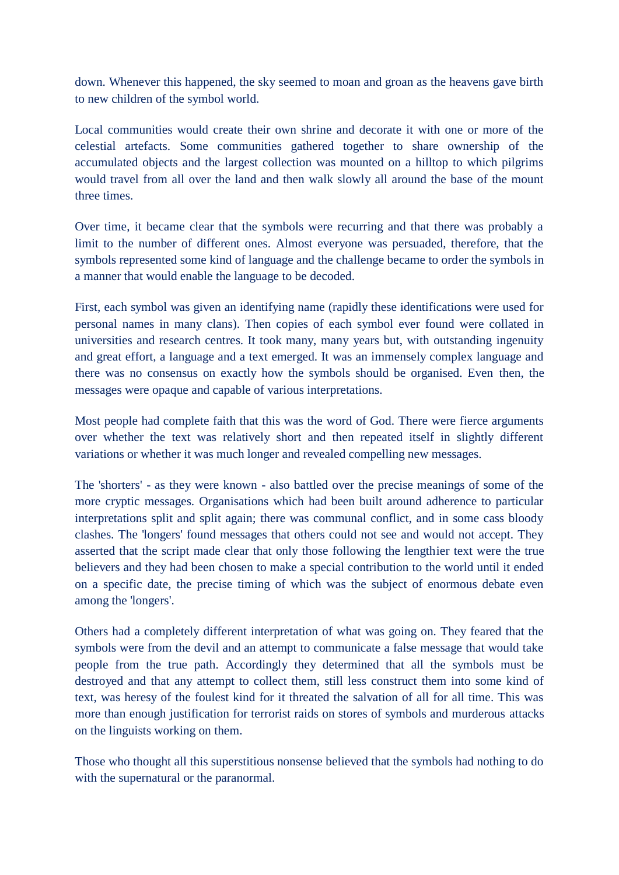down. Whenever this happened, the sky seemed to moan and groan as the heavens gave birth to new children of the symbol world.

Local communities would create their own shrine and decorate it with one or more of the celestial artefacts. Some communities gathered together to share ownership of the accumulated objects and the largest collection was mounted on a hilltop to which pilgrims would travel from all over the land and then walk slowly all around the base of the mount three times.

Over time, it became clear that the symbols were recurring and that there was probably a limit to the number of different ones. Almost everyone was persuaded, therefore, that the symbols represented some kind of language and the challenge became to order the symbols in a manner that would enable the language to be decoded.

First, each symbol was given an identifying name (rapidly these identifications were used for personal names in many clans). Then copies of each symbol ever found were collated in universities and research centres. It took many, many years but, with outstanding ingenuity and great effort, a language and a text emerged. It was an immensely complex language and there was no consensus on exactly how the symbols should be organised. Even then, the messages were opaque and capable of various interpretations.

Most people had complete faith that this was the word of God. There were fierce arguments over whether the text was relatively short and then repeated itself in slightly different variations or whether it was much longer and revealed compelling new messages.

The 'shorters' - as they were known - also battled over the precise meanings of some of the more cryptic messages. Organisations which had been built around adherence to particular interpretations split and split again; there was communal conflict, and in some cass bloody clashes. The 'longers' found messages that others could not see and would not accept. They asserted that the script made clear that only those following the lengthier text were the true believers and they had been chosen to make a special contribution to the world until it ended on a specific date, the precise timing of which was the subject of enormous debate even among the 'longers'.

Others had a completely different interpretation of what was going on. They feared that the symbols were from the devil and an attempt to communicate a false message that would take people from the true path. Accordingly they determined that all the symbols must be destroyed and that any attempt to collect them, still less construct them into some kind of text, was heresy of the foulest kind for it threated the salvation of all for all time. This was more than enough justification for terrorist raids on stores of symbols and murderous attacks on the linguists working on them.

Those who thought all this superstitious nonsense believed that the symbols had nothing to do with the supernatural or the paranormal.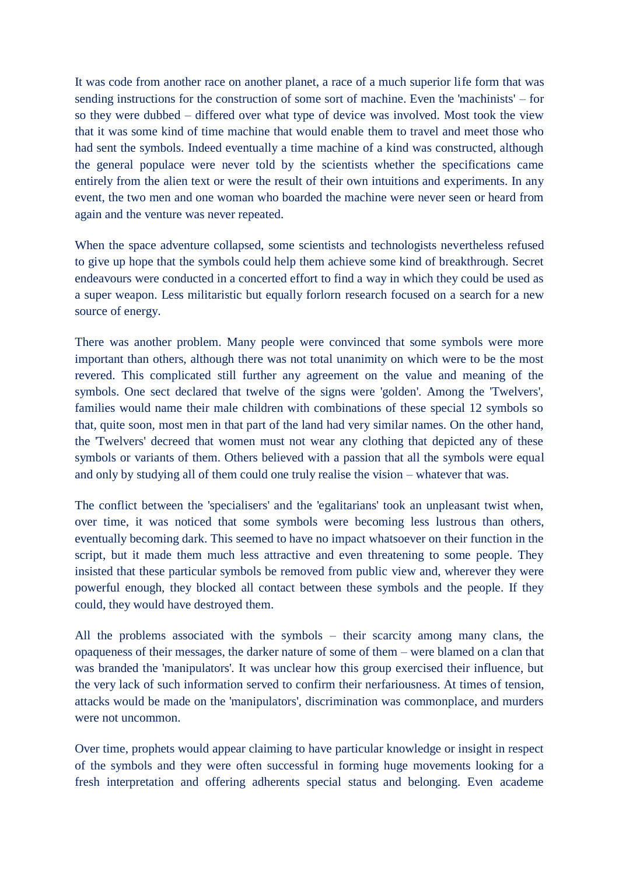It was code from another race on another planet, a race of a much superior life form that was sending instructions for the construction of some sort of machine. Even the 'machinists' – for so they were dubbed – differed over what type of device was involved. Most took the view that it was some kind of time machine that would enable them to travel and meet those who had sent the symbols. Indeed eventually a time machine of a kind was constructed, although the general populace were never told by the scientists whether the specifications came entirely from the alien text or were the result of their own intuitions and experiments. In any event, the two men and one woman who boarded the machine were never seen or heard from again and the venture was never repeated.

When the space adventure collapsed, some scientists and technologists nevertheless refused to give up hope that the symbols could help them achieve some kind of breakthrough. Secret endeavours were conducted in a concerted effort to find a way in which they could be used as a super weapon. Less militaristic but equally forlorn research focused on a search for a new source of energy.

There was another problem. Many people were convinced that some symbols were more important than others, although there was not total unanimity on which were to be the most revered. This complicated still further any agreement on the value and meaning of the symbols. One sect declared that twelve of the signs were 'golden'. Among the 'Twelvers', families would name their male children with combinations of these special 12 symbols so that, quite soon, most men in that part of the land had very similar names. On the other hand, the 'Twelvers' decreed that women must not wear any clothing that depicted any of these symbols or variants of them. Others believed with a passion that all the symbols were equal and only by studying all of them could one truly realise the vision – whatever that was.

The conflict between the 'specialisers' and the 'egalitarians' took an unpleasant twist when, over time, it was noticed that some symbols were becoming less lustrous than others, eventually becoming dark. This seemed to have no impact whatsoever on their function in the script, but it made them much less attractive and even threatening to some people. They insisted that these particular symbols be removed from public view and, wherever they were powerful enough, they blocked all contact between these symbols and the people. If they could, they would have destroyed them.

All the problems associated with the symbols – their scarcity among many clans, the opaqueness of their messages, the darker nature of some of them – were blamed on a clan that was branded the 'manipulators'. It was unclear how this group exercised their influence, but the very lack of such information served to confirm their nerfariousness. At times of tension, attacks would be made on the 'manipulators', discrimination was commonplace, and murders were not uncommon.

Over time, prophets would appear claiming to have particular knowledge or insight in respect of the symbols and they were often successful in forming huge movements looking for a fresh interpretation and offering adherents special status and belonging. Even academe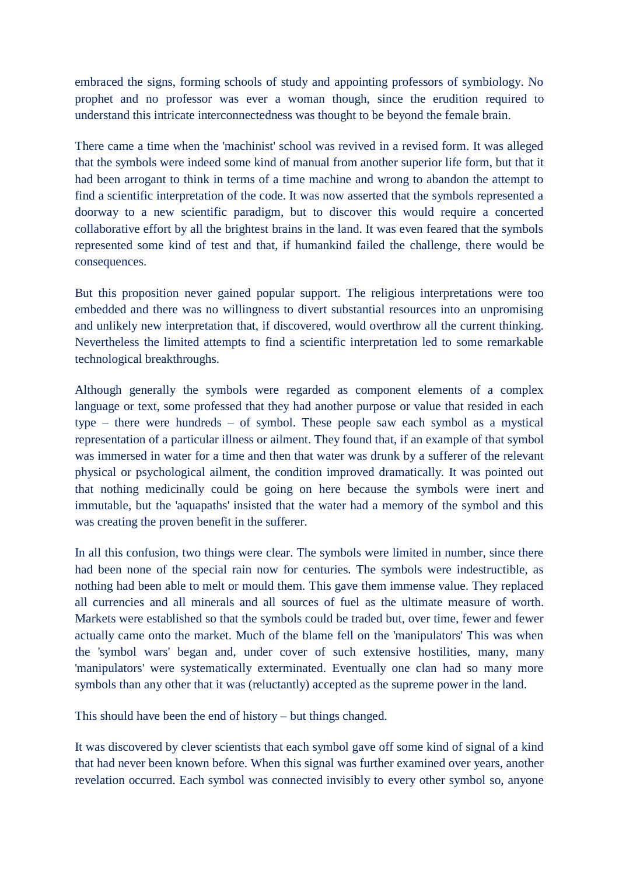embraced the signs, forming schools of study and appointing professors of symbiology. No prophet and no professor was ever a woman though, since the erudition required to understand this intricate interconnectedness was thought to be beyond the female brain.

There came a time when the 'machinist' school was revived in a revised form. It was alleged that the symbols were indeed some kind of manual from another superior life form, but that it had been arrogant to think in terms of a time machine and wrong to abandon the attempt to find a scientific interpretation of the code. It was now asserted that the symbols represented a doorway to a new scientific paradigm, but to discover this would require a concerted collaborative effort by all the brightest brains in the land. It was even feared that the symbols represented some kind of test and that, if humankind failed the challenge, there would be consequences.

But this proposition never gained popular support. The religious interpretations were too embedded and there was no willingness to divert substantial resources into an unpromising and unlikely new interpretation that, if discovered, would overthrow all the current thinking. Nevertheless the limited attempts to find a scientific interpretation led to some remarkable technological breakthroughs.

Although generally the symbols were regarded as component elements of a complex language or text, some professed that they had another purpose or value that resided in each type – there were hundreds – of symbol. These people saw each symbol as a mystical representation of a particular illness or ailment. They found that, if an example of that symbol was immersed in water for a time and then that water was drunk by a sufferer of the relevant physical or psychological ailment, the condition improved dramatically. It was pointed out that nothing medicinally could be going on here because the symbols were inert and immutable, but the 'aquapaths' insisted that the water had a memory of the symbol and this was creating the proven benefit in the sufferer.

In all this confusion, two things were clear. The symbols were limited in number, since there had been none of the special rain now for centuries. The symbols were indestructible, as nothing had been able to melt or mould them. This gave them immense value. They replaced all currencies and all minerals and all sources of fuel as the ultimate measure of worth. Markets were established so that the symbols could be traded but, over time, fewer and fewer actually came onto the market. Much of the blame fell on the 'manipulators' This was when the 'symbol wars' began and, under cover of such extensive hostilities, many, many 'manipulators' were systematically exterminated. Eventually one clan had so many more symbols than any other that it was (reluctantly) accepted as the supreme power in the land.

This should have been the end of history – but things changed.

It was discovered by clever scientists that each symbol gave off some kind of signal of a kind that had never been known before. When this signal was further examined over years, another revelation occurred. Each symbol was connected invisibly to every other symbol so, anyone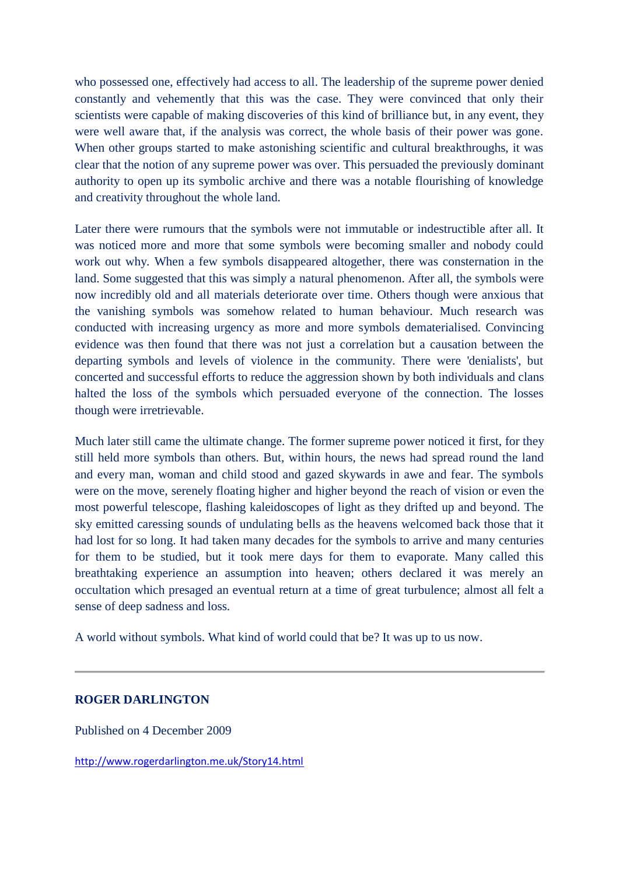who possessed one, effectively had access to all. The leadership of the supreme power denied constantly and vehemently that this was the case. They were convinced that only their scientists were capable of making discoveries of this kind of brilliance but, in any event, they were well aware that, if the analysis was correct, the whole basis of their power was gone. When other groups started to make astonishing scientific and cultural breakthroughs, it was clear that the notion of any supreme power was over. This persuaded the previously dominant authority to open up its symbolic archive and there was a notable flourishing of knowledge and creativity throughout the whole land.

Later there were rumours that the symbols were not immutable or indestructible after all. It was noticed more and more that some symbols were becoming smaller and nobody could work out why. When a few symbols disappeared altogether, there was consternation in the land. Some suggested that this was simply a natural phenomenon. After all, the symbols were now incredibly old and all materials deteriorate over time. Others though were anxious that the vanishing symbols was somehow related to human behaviour. Much research was conducted with increasing urgency as more and more symbols dematerialised. Convincing evidence was then found that there was not just a correlation but a causation between the departing symbols and levels of violence in the community. There were 'denialists', but concerted and successful efforts to reduce the aggression shown by both individuals and clans halted the loss of the symbols which persuaded everyone of the connection. The losses though were irretrievable.

Much later still came the ultimate change. The former supreme power noticed it first, for they still held more symbols than others. But, within hours, the news had spread round the land and every man, woman and child stood and gazed skywards in awe and fear. The symbols were on the move, serenely floating higher and higher beyond the reach of vision or even the most powerful telescope, flashing kaleidoscopes of light as they drifted up and beyond. The sky emitted caressing sounds of undulating bells as the heavens welcomed back those that it had lost for so long. It had taken many decades for the symbols to arrive and many centuries for them to be studied, but it took mere days for them to evaporate. Many called this breathtaking experience an assumption into heaven; others declared it was merely an occultation which presaged an eventual return at a time of great turbulence; almost all felt a sense of deep sadness and loss.

A world without symbols. What kind of world could that be? It was up to us now.

## **ROGER DARLINGTON**

Published on 4 December 2009

<http://www.rogerdarlington.me.uk/Story14.html>